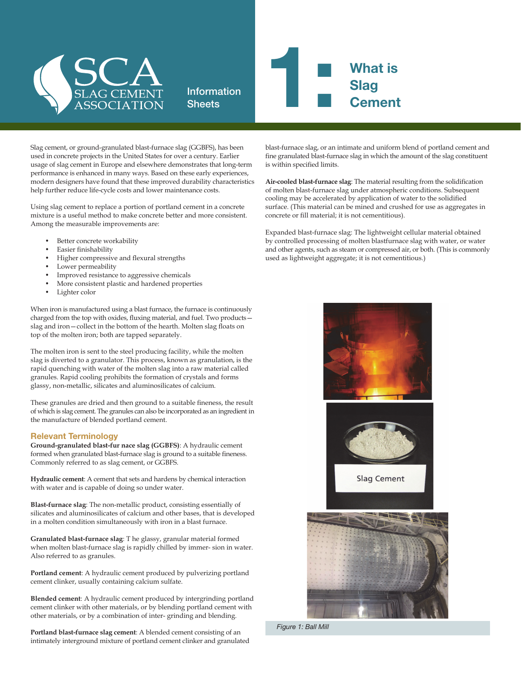

## Information **1: What is<br>Slag<br>Cement Slag Cement**

Slag cement, or ground-granulated blast-furnace slag (GGBFS), has been used in concrete projects in the United States for over a century. Earlier usage of slag cement in Europe and elsewhere demonstrates that long-term performance is enhanced in many ways. Based on these early experiences, modern designers have found that these improved durability characteristics help further reduce life-cycle costs and lower maintenance costs.

**Sheets** 

Using slag cement to replace a portion of portland cement in a concrete mixture is a useful method to make concrete better and more consistent. Among the measurable improvements are:

- Better concrete workability
- Easier finishability
- Higher compressive and flexural strengths
- Lower permeability
- Improved resistance to aggressive chemicals
- More consistent plastic and hardened properties
- Lighter color

When iron is manufactured using a blast furnace, the furnace is continuously charged from the top with oxides, fluxing material, and fuel. Two products slag and iron—collect in the bottom of the hearth. Molten slag floats on top of the molten iron; both are tapped separately.

The molten iron is sent to the steel producing facility, while the molten slag is diverted to a granulator. This process, known as granulation, is the rapid quenching with water of the molten slag into a raw material called granules. Rapid cooling prohibits the formation of crystals and forms glassy, non-metallic, silicates and aluminosilicates of calcium.

These granules are dried and then ground to a suitable fineness, the result of which is slag cement. The granules can also be incorporated as an ingredient in the manufacture of blended portland cement.

## Relevant Terminology

**Ground-granulated blast-fur nace slag (GGBFS)**: A hydraulic cement formed when granulated blast-furnace slag is ground to a suitable fineness. Commonly referred to as slag cement, or GGBFS.

**Hydraulic cement**: A cement that sets and hardens by chemical interaction with water and is capable of doing so under water.

**Blast-furnace slag**: The non-metallic product, consisting essentially of silicates and aluminosilicates of calcium and other bases, that is developed in a molten condition simultaneously with iron in a blast furnace.

**Granulated blast-furnace slag**: T he glassy, granular material formed when molten blast-furnace slag is rapidly chilled by immer- sion in water. Also referred to as granules.

**Portland cement**: A hydraulic cement produced by pulverizing portland cement clinker, usually containing calcium sulfate.

**Blended cement**: A hydraulic cement produced by intergrinding portland cement clinker with other materials, or by blending portland cement with other materials, or by a combination of inter- grinding and blending.

**Portland blast-furnace slag cement**: A blended cement consisting of an intimately interground mixture of portland cement clinker and granulated blast-furnace slag, or an intimate and uniform blend of portland cement and fine granulated blast-furnace slag in which the amount of the slag constituent is within specified limits.

**Air-cooled blast-furnace slag**: The material resulting from the solidification of molten blast-furnace slag under atmospheric conditions. Subsequent cooling may be accelerated by application of water to the solidified surface. (This material can be mined and crushed for use as aggregates in concrete or fill material; it is not cementitious).

Expanded blast-furnace slag: The lightweight cellular material obtained by controlled processing of molten blastfurnace slag with water, or water and other agents, such as steam or compressed air, or both. (This is commonly used as lightweight aggregate; it is not cementitious.)



*Figure 1: Ball Mill*